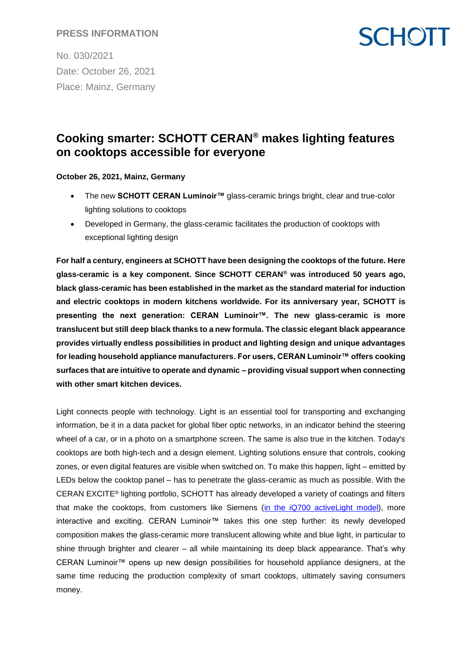#### **PRESS INFORMATION**

No. 030/2021 Date: October 26, 2021 Place: Mainz, Germany

## **SCHOTT**

### **Cooking smarter: SCHOTT CERAN® makes lighting features on cooktops accessible for everyone**

**October 26, 2021, Mainz, Germany**

- The new **SCHOTT CERAN Luminoir™** glass-ceramic brings bright, clear and true-color lighting solutions to cooktops
- Developed in Germany, the glass-ceramic facilitates the production of cooktops with exceptional lighting design

**For half a century, engineers at SCHOTT have been designing the cooktops of the future. Here glass-ceramic is a key component. Since SCHOTT CERAN® was introduced 50 years ago, black glass-ceramic has been established in the market as the standard material for induction and electric cooktops in modern kitchens worldwide. For its anniversary year, SCHOTT is presenting the next generation: CERAN Luminoir™. The new glass-ceramic is more translucent but still deep black thanks to a new formula. The classic elegant black appearance provides virtually endless possibilities in product and lighting design and unique advantages for leading household appliance manufacturers. For users, CERAN Luminoir™ offers cooking surfaces that are intuitive to operate and dynamic – providing visual support when connecting with other smart kitchen devices.**

Light connects people with technology. Light is an essential tool for transporting and exchanging information, be it in a data packet for global fiber optic networks, in an indicator behind the steering wheel of a car, or in a photo on a smartphone screen. The same is also true in the kitchen. Today's cooktops are both high-tech and a design element. Lighting solutions ensure that controls, cooking zones, or even digital features are visible when switched on. To make this happen, light – emitted by LEDs below the cooktop panel – has to penetrate the glass-ceramic as much as possible. With the CERAN EXCITE® lighting portfolio, SCHOTT has already developed a variety of coatings and filters that make the cooktops, from customers like Siemens [\(in the iQ700 activeLight model\)](https://www.siemens-home.bsh-group.com/uk/search-result?search=activelight&tab=product), more interactive and exciting. CERAN Luminoir™ takes this one step further: its newly developed composition makes the glass-ceramic more translucent allowing white and blue light, in particular to shine through brighter and clearer – all while maintaining its deep black appearance. That's why CERAN Luminoir™ opens up new design possibilities for household appliance designers, at the same time reducing the production complexity of smart cooktops, ultimately saving consumers money.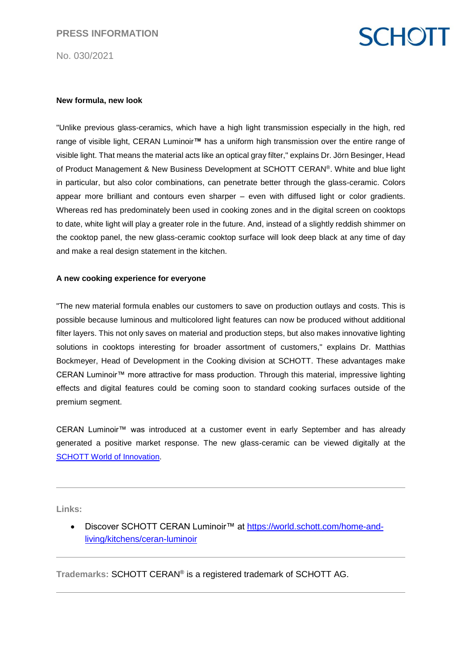No. 030/2021

# **SCHOTT**

#### **New formula, new look**

"Unlike previous glass-ceramics, which have a high light transmission especially in the high, red range of visible light, CERAN Luminoir**™** has a uniform high transmission over the entire range of visible light. That means the material acts like an optical gray filter," explains Dr. Jörn Besinger, Head of Product Management & New Business Development at SCHOTT CERAN®. White and blue light in particular, but also color combinations, can penetrate better through the glass-ceramic. Colors appear more brilliant and contours even sharper – even with diffused light or color gradients. Whereas red has predominately been used in cooking zones and in the digital screen on cooktops to date, white light will play a greater role in the future. And, instead of a slightly reddish shimmer on the cooktop panel, the new glass-ceramic cooktop surface will look deep black at any time of day and make a real design statement in the kitchen.

#### **A new cooking experience for everyone**

"The new material formula enables our customers to save on production outlays and costs. This is possible because luminous and multicolored light features can now be produced without additional filter layers. This not only saves on material and production steps, but also makes innovative lighting solutions in cooktops interesting for broader assortment of customers," explains Dr. Matthias Bockmeyer, Head of Development in the Cooking division at SCHOTT. These advantages make CERAN Luminoir™ more attractive for mass production. Through this material, impressive lighting effects and digital features could be coming soon to standard cooking surfaces outside of the premium segment.

CERAN Luminoir™ was introduced at a customer event in early September and has already generated a positive market response. The new glass-ceramic can be viewed digitally at the [SCHOTT World of Innovation.](https://world.schott.com/home-and-living/kitchens/ceran-luminoir)

**Links:** 

 Discover SCHOTT CERAN Luminoir™ at [https://world.schott.com/home-and](https://world.schott.com/home-and-living/kitchens/ceran-luminoir)[living/kitchens/ceran-luminoir](https://world.schott.com/home-and-living/kitchens/ceran-luminoir)

**Trademarks:** SCHOTT CERAN® is a registered trademark of SCHOTT AG.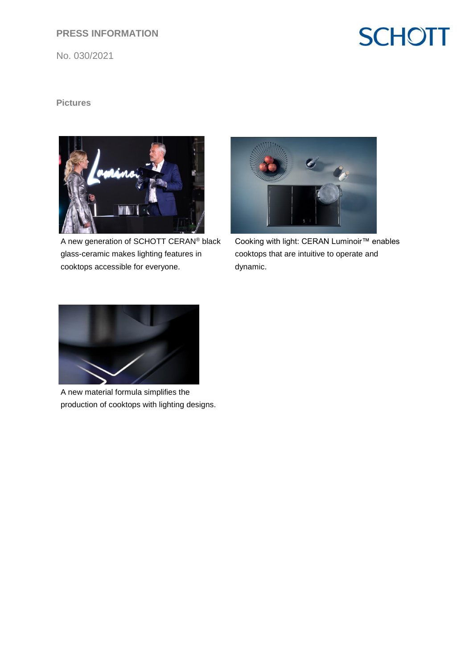### **PRESS INFORMATION**

No. 030/2021

## **SCHOTT**

### **Pictures**



A new generation of SCHOTT CERAN® black glass-ceramic makes lighting features in cooktops accessible for everyone.



Cooking with light: CERAN Luminoir™ enables cooktops that are intuitive to operate and dynamic.



A new material formula simplifies the production of cooktops with lighting designs.